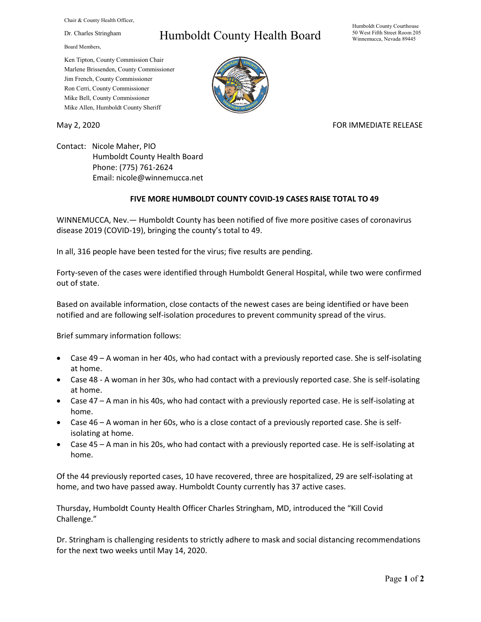Chair & County Health Officer,

Dr. Charles Stringham

Board Members,

## Humboldt County Health Board

Humboldt County Courthouse 50 West Fifth Street Room 205 Winnemucca, Nevada 89445

Ken Tipton, County Commission Chair Marlene Brissenden, County Commissioner Jim French, County Commissioner Ron Cerri, County Commissioner Mike Bell, County Commissioner Mike Allen, Humboldt County Sheriff

May 2, 2020 FOR IMMEDIATE RELEASE

Contact: Nicole Maher, PIO Humboldt County Health Board Phone: (775) 761-2624 Email: nicole@winnemucca.net

## **FIVE MORE HUMBOLDT COUNTY COVID-19 CASES RAISE TOTAL TO 49**

WINNEMUCCA, Nev.— Humboldt County has been notified of five more positive cases of coronavirus disease 2019 (COVID-19), bringing the county's total to 49.

In all, 316 people have been tested for the virus; five results are pending.

Forty-seven of the cases were identified through Humboldt General Hospital, while two were confirmed out of state.

Based on available information, close contacts of the newest cases are being identified or have been notified and are following self-isolation procedures to prevent community spread of the virus.

Brief summary information follows:

- Case 49 A woman in her 40s, who had contact with a previously reported case. She is self-isolating at home.
- Case 48 A woman in her 30s, who had contact with a previously reported case. She is self-isolating at home.
- Case 47 A man in his 40s, who had contact with a previously reported case. He is self-isolating at home.
- Case 46 A woman in her 60s, who is a close contact of a previously reported case. She is selfisolating at home.
- Case 45 A man in his 20s, who had contact with a previously reported case. He is self-isolating at home.

Of the 44 previously reported cases, 10 have recovered, three are hospitalized, 29 are self-isolating at home, and two have passed away. Humboldt County currently has 37 active cases.

Thursday, Humboldt County Health Officer Charles Stringham, MD, introduced the "Kill Covid Challenge."

Dr. Stringham is challenging residents to strictly adhere to mask and social distancing recommendations for the next two weeks until May 14, 2020.